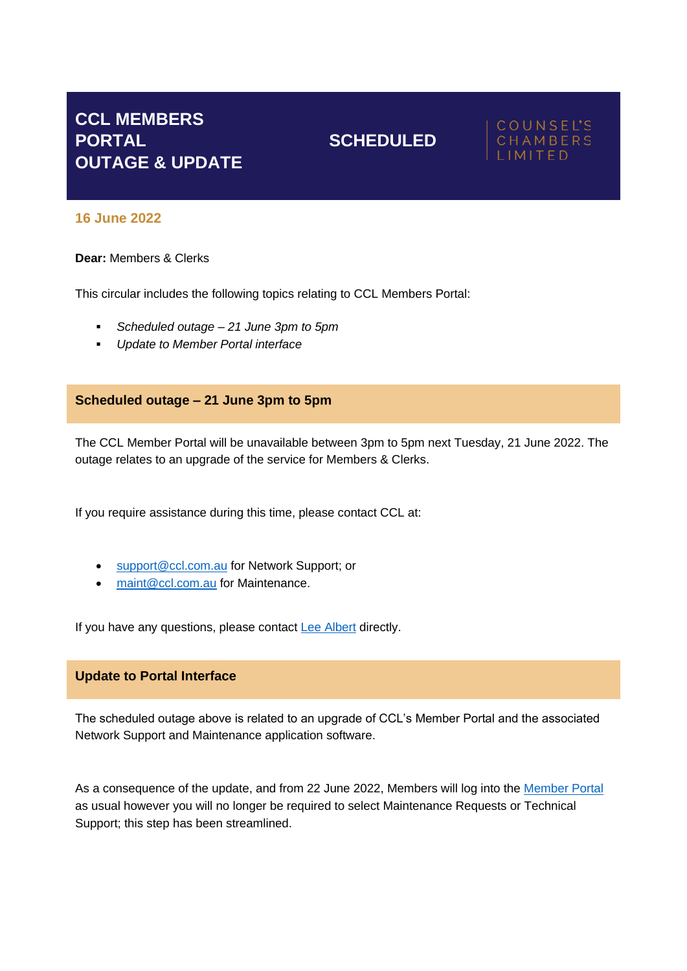# **CCL MEMBERS PORTAL SCHEDULED OUTAGE & UPDATE**

## **COUNSEL'S** CHAMBERS LIMITED

# **16 June 2022**

### **Dear:** Members & Clerks

This circular includes the following topics relating to CCL Members Portal:

- *Scheduled outage – 21 June 3pm to 5pm*
- *Update to Member Portal interface*

# **Scheduled outage – 21 June 3pm to 5pm**

The CCL Member Portal will be unavailable between 3pm to 5pm next Tuesday, 21 June 2022. The outage relates to an upgrade of the service for Members & Clerks.

If you require assistance during this time, please contact CCL at:

- [support@ccl.com.au](mailto:support@ccl.com.au) for Network Support; or
- [maint@ccl.com.au](mailto:maint@ccl.com.au) for Maintenance.

If you have any questions, please contact [Lee Albert](mailto:lalbert@ccl.com.au) directly.

### **Update to Portal Interface**

The scheduled outage above is related to an upgrade of CCL's Member Portal and the associated Network Support and Maintenance application software.

As a consequence of the update, and from 22 June 2022, Members will log into the [Member Portal](https://www.ccl.com.au/portal) as usual however you will no longer be required to select Maintenance Requests or Technical Support; this step has been streamlined.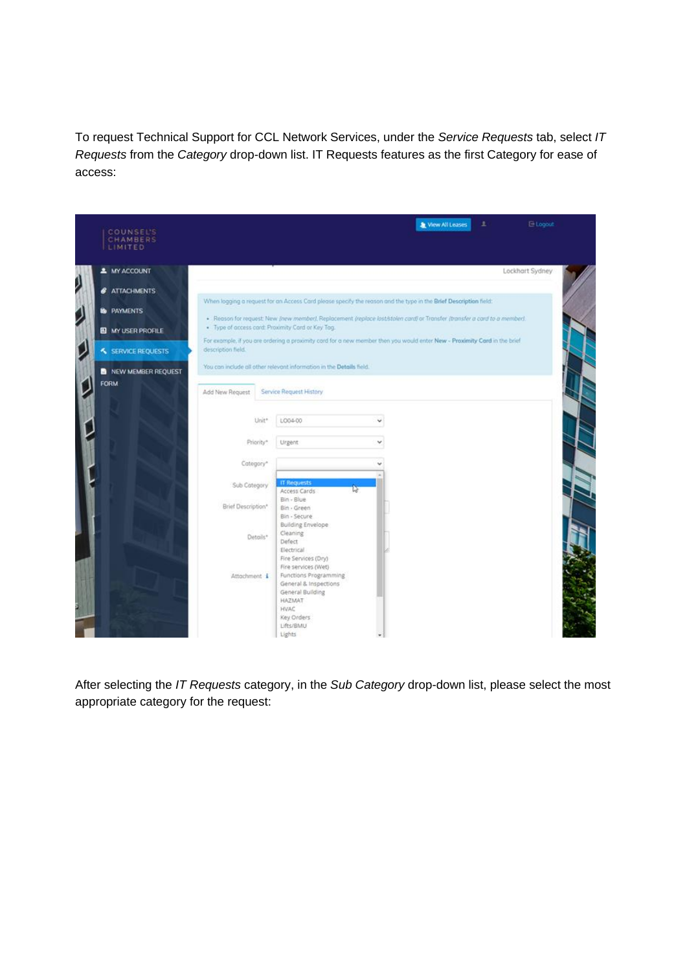To request Technical Support for CCL Network Services, under the *Service Requests* tab, select *IT Requests* from the *Category* drop-down list. IT Requests features as the first Category for ease of access:



After selecting the *IT Requests* category, in the *Sub Category* drop-down list, please select the most appropriate category for the request: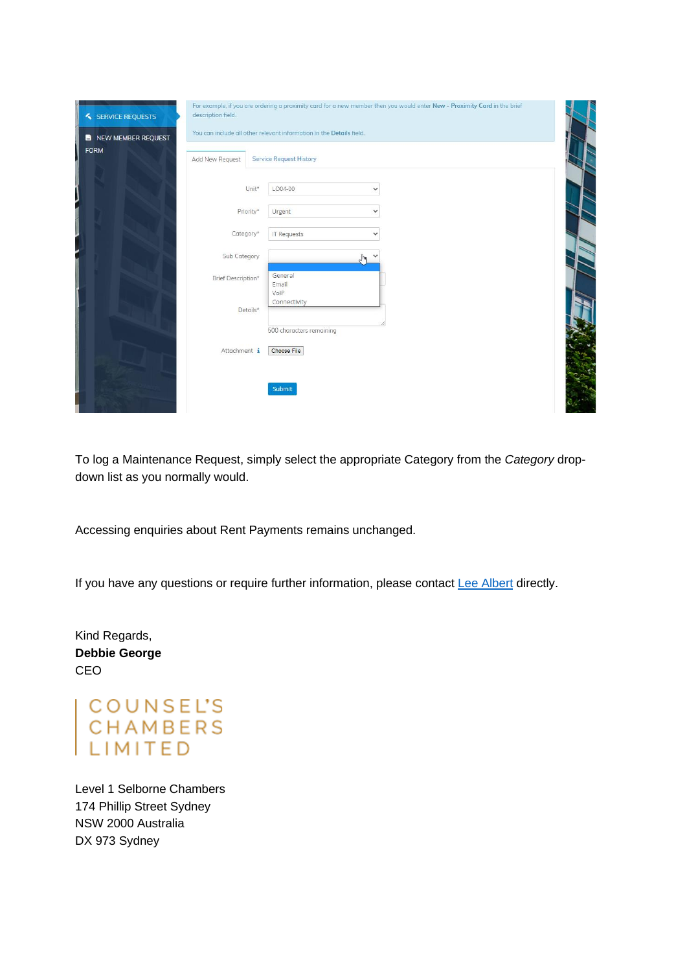| SERVICE REQUESTS<br><b>B</b> NEW MEMBER REQUEST<br><b>FORM</b> | For example, if you are ordering a proximity card for a new member then you would enter New - Proximity Card in the brief<br>description field.<br>You can include all other relevant information in the Details field.<br><b>Service Request History</b><br>Add New Request |                                          |                              |  |  |
|----------------------------------------------------------------|------------------------------------------------------------------------------------------------------------------------------------------------------------------------------------------------------------------------------------------------------------------------------|------------------------------------------|------------------------------|--|--|
|                                                                | Unit*<br>Priority*                                                                                                                                                                                                                                                           | LO04-00<br>Urgent                        | $\checkmark$<br>$\checkmark$ |  |  |
|                                                                | Category*<br>Sub Category                                                                                                                                                                                                                                                    | <b>IT Requests</b>                       | $\checkmark$                 |  |  |
|                                                                | Brief Description*                                                                                                                                                                                                                                                           | General<br>Email<br>VolP                 | لس                           |  |  |
|                                                                | Details*                                                                                                                                                                                                                                                                     | Connectivity<br>500 characters remaining |                              |  |  |
|                                                                | Attachment i                                                                                                                                                                                                                                                                 | Choose File<br>Submit                    |                              |  |  |

To log a Maintenance Request, simply select the appropriate Category from the *Category* dropdown list as you normally would.

Accessing enquiries about Rent Payments remains unchanged.

If you have any questions or require further information, please contac[t Lee Albert](mailto:lalbert@ccl.com.au) directly.

Kind Regards, **Debbie George** CEO

COUNSEL'S<br>CHAMBERS<br>LIMITED

Level 1 Selborne Chambers 174 Phillip Street Sydney NSW 2000 Australia DX 973 Sydney